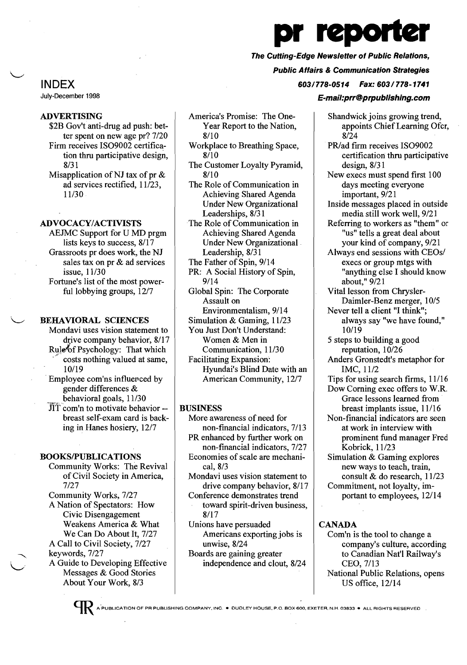# pr reporte

## The Cutting-Edge Newsletter of Public Relations,

#### Public Affairs & Communication Strategies

603/778-0514 Fax: 603/778-1741

#### E-mail:prr@prpublishing.com

INDEX

July-December 1998

#### ADVERTISING

- \$2B Gov't anti-drug ad push: better spent on new age pr? 7/20 Firm receives IS09002 certification thru participative design, 8/31
- Misapplication of NJ tax of pr  $\&$ ad services rectified, 11/23, 11/30

### ADVOCACY/ACTIVISTS

AEJMC Support for U MD prgm lists keys to success, 8/17 Grassroots pr does work, the NJ sales tax on pr & ad services issue, 11/30 Fortune's list of the most powerful lobbying groups,  $12/7$ 

BEHAVIORAL SCIENCES

- Mondavi uses vision statement to drive company behavior, 8/17 Rule<sup>t</sup> of Psychology: That which costs nothing valued at same, 10/19
- . Employee com'ns influenced by gender differences & behavioral goals, 11/30
- $\hat{J}$ lT com'n to motivate behavior -breast self-exam card is backing in Hanes hosiery, 12/7

#### BOOKS/PUBLICATIONS

Community Works: The Revival of Civil Society in America, 7/27 Community Works, 7/27

A Nation of Spectators: How Civic Disengagement Weakens America & What We Can Do About It, 7/27 A Call to Civil Society, 7/27 keywords, 7/27 A Guide to Developing Effective Messages & Good Stories About Your Work, 8/3

- America's Promise: The One-Year Report to the Nation, 8/10
- Workplace to Breathing Space, 8/10
- The Customer Loyalty Pyramid, 8/10
- The Role of Communication in Achieving Shared Agenda Under New Organizational Leaderships, 8/31
- The Role of Communication in Achieving Shared Agenda Under New Organizational. Leadership, 8/31
- The Father of Spin, 9/14
- PR: A Social History of Spin, 9/14
- Global Spin: The Corporate Assault on
- Environmentalism, 9/14
- Simulation & Gaming, 11/23 You Just Don't Understand:
- Women & Men in
- Communication, 11/30 Facilitating Expansion:
- Hyundai's Blind Date with an American Community, 12/7

#### BUSINESS

- More awareness of need for non-financial indicators, 7/13 PR enhanced by further work on
- non-financial indicators, 7/27 Economies of scale are mechani
	- cal, 8/3
- Mondavi uses vision statement to drive company behavior, 8/17
- Conference demonstrates trend toward spirit-driven business, 8/17
- Unions have persuaded Americans exporting jobs is unwise, 8/24
- Boards are gaining greater independence and clout, 8/24

Shandwick joins growing trend, appoints Chief Learning Ofcr, 8/24

- PR/ad firm receives ISO9002 certification thru participative design, 8/31
- New execs must spend first 100 days meeting everyone important, 9/21
- Inside messages placed in outside media still work well, 9/21
- Referring to workers as "them" or "us" tells a great deal about your kind of company, 9/21
- Always end sessions with CEOs/ execs or group mtgs with "anything else I should know about," 9/21
- Vital lesson from Chrysler-Daimler-Benz merger, 10/5
- Never tell a client "I think"; always say "we have found," 10/19
- 5 steps to building a good reputation, 10/26
- Anders Gronstedt's metaphor for IMC, 11/2
- Tips for using search firms, 11/16 Dow Coming exec offers to W.R.
- Grace lessons learned from . breast implants issue, 11/16
- Non-financial indicators are seen at work in interview with prominent fund manager Fred Kobrick, 11/23
- Simulation & Gaming explores new ways to teach, train, consult & do research, 11/23
- Commitment, not loyalty, important to employees, 12/14

### CANADA

- Com'n is the tool to change a company's culture, according to Canadian Nat'l Railway's CEO, 7/13 National Public Relations, opens
	- US office, 12/14



A PUBLICATION OF PR PUBLISHING COMPANY, INC. • DUDLEY HOUSE, P.O. BOX 600, EXETER. N.H. 03833 • ALL RIGHTS RESERVED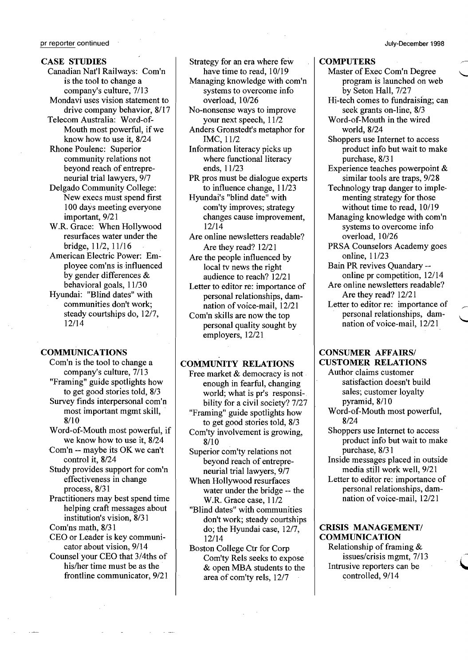#### CASE STUDIES

Canadian Nat'l Railways: Com'n is the tool to change a company's culture, 7/13 Mondavi uses vision statement to

drive company behavior, 8/17 Telecom Australia: Word-of-Mouth most powerful, if we know how to use it, 8/24

Rhone Poulenc: Superior community relations not beyond reach of entrepreneurial trial lawyers, 9/7

- Delgado Community College: New execs must spend first 100 days meeting everyone important,  $9/21$
- W.R. Grace: When Hollywood resurfaces water under the bridge, 11/2, 11/16
- American Electric Power: Employee com'ns is influenced by gender differences & behavioral goals, 11/30
- Hyundai: "Blind dates" with communities don't work; steady courtships do, 12/7, 12/14

#### COMMUNICATIONS

- Com'n is the tool to change a company's culture, 7/13 "Framing" guide spotlights how to get good stories told, 8/3 Survey finds interpersonal com'n most important mgmt skill, . 8/10
- Word-of-Mouth most powerful, if we know how to use it, 8/24
- Com'n -- maybe its OK we can't control it, 8/24
- Study provides support for com'n effectiveness in change process, 8/31
- Practitioners may best spend time helping craft messages about institution's vision, 8/31
- Com'ns math, 8/31 CEO or Leader is key communi-
- cator about vision, 9/14 Counsel your CEO that 3/4ths of his/her time must be as the
- frontline communicator, 9/21

Strategy for an era where few have time to read, 10/19

- Managing knowledge with com'n systems to overcome info overload, 10/26
- No-nonsense ways to improve your next speech,  $11/2$
- Anders Gronstedt's metaphor for IMC, 11/2
- Information literacy picks up where functional literacy ends, 11/23
- PR pros must be dialogue experts to influence change,  $11/23$
- Hyundai's "blind date" with com'ty improves; strategy changes cause improvement, 12/14
- Are online newsletters readable? Are they read? 12/21
- Are the people influenced by local tv news the right audience to reach? 12/21
- Letter to editor re: importance of personal relationships, damnation of voice-mail, 12/21
- Com'n skills are now the top personal quality sought by employers, 12/21

#### COMMUNITY RELATIONS

- Free market & democracy is not enough in fearful, changing world; what is pr's responsibility for a civil society? 7/27
- "Framing" guide spotlights how to get good stories told, 8/3
- Com'ty involvement is growing, 8/10
- Superior com'ty relations not beyond reach of entrepreneurial trial lawyers, 9/7
- When Hollywood resurfaces water under the bridge -- the W.R. Grace case,  $11/2$
- "Blind dates" with communities don't work; steady courtships do; the Hyundai case, 12/7, 12/14
- Boston College Ctr for Corp Com'ty Rels seeks to expose & open MBA students to the area of com'ty rels, 12/7

## July-December 1998

#### **COMPUTERS**

- Master of Exec Com'n Degree program is launched on web by Seton Hall, 7/27
- Hi-tech comes to fundraising; can seek grants on-line, 8/3
- Word-of-Mouth in the wired world,8/24
- Shoppers use Internet to access product info but wait to make purchase, 8/31
- Experience teaches powerpoint & similar tools are traps, 9/28
- Technology trap danger to implementing strategy for those without time to read, 10/19
- Managing knowledge with com'n systems to overcome info overload, 10/26
- PRSA Counselors Academy goes online, 11/23
- Bain PR revives Quandary online pr competition, 12/14
- Are online newsletters readable? Are they read? 12/21
- Letter to editor re: importance of personal relationships, damnation of voice-mail, 12/21

#### CONSUMER AFFAIRS/ CUSTOMER RELATIONS

- Author claims customer satisfaction doesn't build sales; customer loyalty pyramid, 8/10 Word-of-Mouth most powerful,
- 8/24
- Shoppers use Internet to access product info but wait to make purchase, 8/3 1
- Inside messages placed in outside media still work well, 9/21 Letter to editor re: importance of
- personal relationships, dam nation of voice-mail, 12/21

#### CRISIS MANAGEMENT/ COMMUNICATION

Relationship of framing &<br>issues/crisis mgmt, 7/13 Intrusive reporters can be controlled,  $9/14$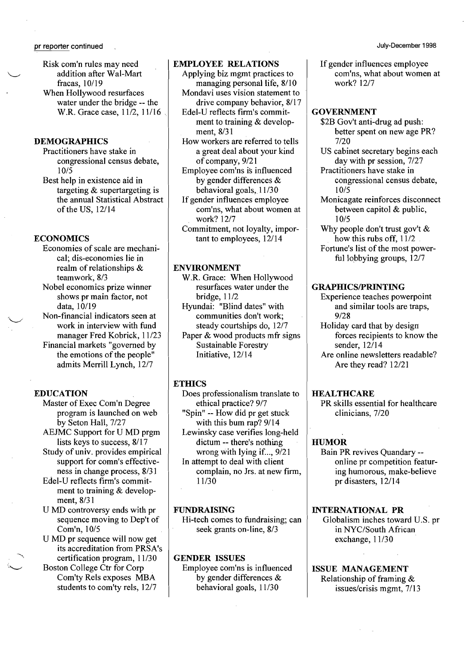- Risk com'n rules may need addition after Wal-Mart fracas, 10/19
- When Hollywood resurfaces water under the bridge -- the W.R. Grace case, 11/2, 11/16

#### **DEMOGRAPHICS**

Practitioners have stake in congressional census debate, 10/5

Best help in existence aid in targeting & supertargeting is the annual Statistical Abstract of the US, 12/14

#### **ECONOMICS**

Economies of scale are mechanical; dis-economies lie in realm of relationships & teamwork, 8/3

Nobel economics prize winner shows pr main factor, not data, 10/19

Non-financial indicators seen at work in interview with fund manager Fred Kobrick, 11/23

Financial markets "governed by the emotions of the people" admits Merrill Lynch, 12/7

#### EDUCATION

Master of Exec Com'n Degree program is launched on web by Seton Hall, 7/27

AEJMC Support for U MD prgm lists keys to success, 8/17

Study of univ. provides empirical support for comn's effectiveness in change process, 8/31

Edel-U reflects firm's commitment to training & development, 8/31

U MD controversy ends with pr sequence moving to Dep't of Com'n, 10/5

U MD pr sequence will now get its accreditation from PRSA's certification program, 11/30

Boston College Ctr for Corp Com'ty Rels exposes MBA students to com'ty rels, 12/7

#### EMPLOYEE RELATIONS

Applying biz mgmt practices to managing personal life, 8/10 Mondavi uses vision statement to drive company behavior, 8/17

Edel-U reflects firm's commitment to training & development, 8/31

How workers are referred to tells a great deal about your kind of company, 9/21

Employee com'ns is influenced by gender differences & behavioral goals, 11/30

If gender influences employee com'ns, what about women at work? 12/7

Commitment, not loyalty, important to employees, 12/14

#### ENVIRONMENT

W.R. Grace: When Hollywood resurfaces water under the bridge, 11/2

Hyundai: "Blind dates" with communities don't work; steady courtships do, 12/7

Paper & wood products mfr signs Sustainable Forestry Initiative, 12/14

#### **ETHICS**

Does professionalism translate to ethical practice? 9/7

"Spin" -- How did pr get stuck with this bum rap? 9/14

Lewinsky case verifies long-held dictum -- there's nothing wrong with lying if..., 9/21

In attempt to deal with client complain, no Jrs. at new firm, 11/30

#### FUNDRAISING

Hi-tech comes to fundraising; can seek grants on-line, 8/3

#### GENDER ISSUES Employee com'ns is influenced by gender differences & behavioral goals, 11/30

If gender influences employee com'ns, what about women at work? 12/7

#### GOVERNMENT

- \$2B Gov't anti-drug ad push: better spent on new age PR? 7/20
- US cabinet secretary begins each day with pr session, 7/27
- Practitioners have stake in congressional census debate, 10/5
- Monicagate reinforces disconnect between capitol & public, 10/5
- Why people don't trust gov't  $\&$ how this rubs off, 11/2

Fortune's list of the most powerful lobbying groups,  $12/7$ 

#### **GRAPHICS/PRINTING**

- Experience teaches powerpoint and similar tools are traps, 9/28
- Holiday card that by design forces recipients to know the sender, 12/14
- Are online newsletters readable? Are they read? 12/21

#### **HEALTHCARE**

PR skills essential for healthcare clinicians, 7/20

#### **HUMOR**

Bain PR revives Quandary online pr competition featuring humorous, make-believe pr disasters, 12/14

INTERNATIONAL PR Globalism inches toward U.S. pr in NYC/South African exchange, 11/30

#### ISSUE MANAGEMENT Relationship of framing &

issues/crisis mgmt, 7/13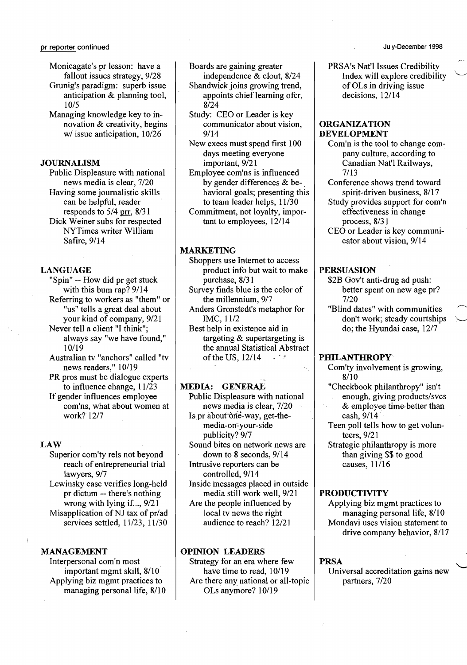Monicagate's pr lesson: have a fallout issues strategy, *9/28*  Grunig's paradigm: superb issue anticipation & planning tool, *lOIS* 

Managing knowledge key to innovation & creativity, begins *wi* issue anticipation, 10/26

#### JOURNALISM

Public Displeasure with national news media is clear, *7/20*  Having some journalistic skills can be helpful, reader responds to 5/4 prr, 8/31 Dick Weiner subs for respected NYTimes writer William Safire, 9/14

#### LANGUAGE

"Spin" -- How did pr get stuck with this bum rap? 9/14 Referring to workers as "them" or "us" tells a great deal about

your kind of company, *9/21*  Never tell a client "I think"; always say "we have found," 10/19

Australian tv "anchors" called "tv news readers," 10/19

PR pros must be dialogue experts to influence change, 11/23

If gender influences employee com'ns, what about women at work? 12/7

#### LAW

Superior com'ty rels not beyond reach of entrepreneurial trial lawyers, 9/7

Lewinsky case verifies long-held pr dictum -- there's nothing wrong with lying if..., *9/21*  Misapplication of NJ tax of pr/ad services settled, *11/23, 11/30* 

#### MANAGEMENT

Interpersonal com'n most important mgmt skill, 8/10 Applying biz mgmt practices to managing personal life, *8/10*  Boards are gaining greater

- independence & clout, 8/24 Shandwick joins growing trend, appoints chief learning ofcr, *8/24*
- Study: CEO or Leader is key communicator about vision, 9/14
- New execs must spend first 100 days meeting everyone important, *9/21*
- Employee com'ns is influenced by gender differences & behavioral goals; presenting this to team leader helps, 11/30 Commitment, not loyalty, impor-
- tant to employees, 12/14

#### MARKETING

Shoppers use Internet to access product info but wait to make purchase, *8/3* I

Survey finds blue is the color of the millennium, 9/7

Anders Gronstedt's metaphor for IMC,I1/2

Best help in existence aid in targeting & supertargeting is the annual Statistical Abstract of the US,  $12/14$ 

#### MEDIA: GENERAL

- Public Displeasure with national news media is clear, 7/20
- Is pr about one-way, get-themedia-on-your-side publicity? 9/7
- Sound bites on network news are down to 8 seconds, 9/14 Intrusive reporters can be
	- controlled, 9/14
- Inside messages placed in outside media still work well, *9/21*
- Are the people influenced by local tv news the right audience to reach? 12/21

#### OPINION LEADERS

Strategy for an era where few have time to read, 10/19 Are there any national or all-topic OLs anymore? 10/19

PRSA's Nat'l Issues Credibility<br>Index will explore credibility of OLs in driving issue decisions, 12/14

#### ORGANIZATION DEVELOPMENT

Com'n is the tool to change company culture, according to Canadian Nat'l Railways, *7/13* 

Conference shows trend toward spirit-driven business, 8/17 Study provides support for com'n effectiveness in change

process, *8/3*1 CEO or Leader is key communicator about vision, 9/14

#### PERSUASION

- \$2B Gov't anti-drug ad push: better spent on new age pr? 7/20
- "Blind dates" with communities don't work; steady courtships do; the Hyundai case, 12/7

#### PHILANTHROPY<sup>·</sup>

- Com'ty involvement is growing, *8/10*
- "Checkbook philanthropy" isn't
- enough, giving products/svcs & employee time' better than
- cash, 9/14 Teen poll tells how to get volun*teers,9/21*

Strategic philanthropy is more than giving \$\$ to good causes, 11/16

#### PRODUCTIVITY

Applying biz mgmt practices to managing personal life, *8/10*  Mondavi uses vision statement to drive company behavior, *8/17* 

PRSA<br>Universal accreditation gains new partners, *7/20*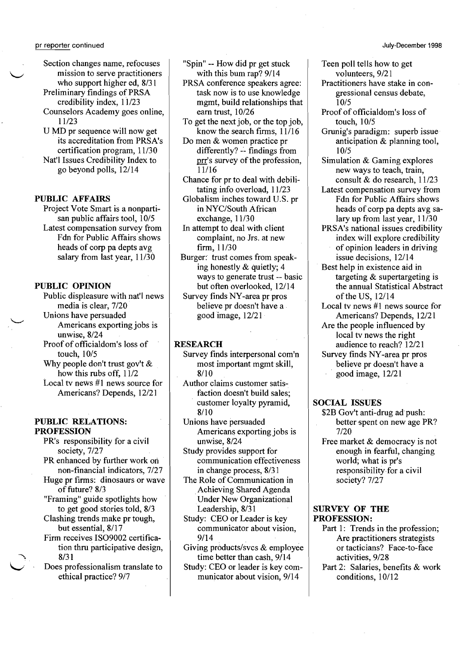Section changes name, refocuses mission to serve practitioners who support higher ed, 8/31

Preliminary findings of PRSA credibility index, 11/23

Counselors Academy goes online, 11/23

U MD pr sequence will now get its accreditation from PRSA's certification program, 11/30 Nat'l Issues Credibility Index to go beyond polls, 12/14

#### PUBLIC AFFAIRS

Project Vote Smart is a nonpartisan public affairs tool, 10/5 Latest compensation survey from Fdn for Public Affairs shows heads of corp pa depts avg salary from last year, 11/30

#### PUBLIC OPINION

Public displeasure with nat'l news media is clear, 7/20 Unions have persuaded

Americans exporting jobs is unwise, 8/24

- Proof of officialdom's loss of touch, 10/5
- Why people don't trust gov't  $\&$ how this rubs off, 11/2 Local tv news #1 news source for Americans? Depends, 12/21

#### PUBLIC RELATIONS: PROFESSION

- PR's responsibility for a civil society, 7/27
- PR enhanced by further work on non-financial indicators, 7/27
- Huge pr firms: dinosaurs or wave of future? 8/3
- "Framing" guide spotlights how to get good stories told, 8/3 Clashing trends make pr tough,
- but essential, 8/17 Firm receives IS09002 certifica-
- tion thru participative design, 8/31
- Does professionalism translate to ethical practice? 9/7

"Spin" -- How did pr get stuck with this bum rap? 9/14

- PRSA conference speakers agree: task now is to use knowledge mgmt, build relationships that earn trust, 10/26
- To get the next job, or the top job, know the search firms, 11/16
- Do men & women practice pr  $differently? -*finding from*$ prr's survey of the profession, 11/16
- Chance for pr to deal with debilitating info overload, 11/23
- Globalism inches toward U.S. pr in NYC/South African exchange, 11/30
- In attempt to deal with client complaint, no Jrs. at new firm, 11/30
- Burger: trust comes from speaking honestly & quietly; 4 ways to generate trust -- basic but often overlooked, 12/14

Survey finds NY-area pr pros believe pr doesn't have a good image, 12/21

#### **RESEARCH**

- Survey finds interpersonal com'n most important mgmt skill, 8/10
- Author claims customer satisfaction doesn't build sales; . customer loyalty pyramid, 8/10
- Unions have persuaded Americans exporting jobs is unwise, 8/24
- Study provides support for communication effectiveness in change process, 8/3 1
- The Role of Communication in .Achieving Shared Agenda Under New Organizational Leadership, 8/31
- Study: CEO or Leader is key communicator about vision, 9/14
- Giving products/svcs & employee time better than cash, 9/14
- Study: CEO or leader is key com municator about vision, 9/14
- Teen poll tells how.to get volunteers, 9/21
- Practitioners have stake in congressional census debate, 10/5
- Proof of officialdom's loss of touch, 10/5
- Grunig's paradigm: superb issue anticipation & planning tool, 10/5
- Simulation & Gaming explores new ways to teach, train, consult & do research, 11/23
- Latest compensation survey from Fdn for Public Affairs shows
- heads of corp pa depts avg salary up from last year, 11/30 PRSA's national issues credibility
- index will explore credibility of opinion leaders in driving issue decisions, 12/14
- Best help in existence aid in targeting & supertargeting is the annual Statistical Abstract of the US, 12/14
- Local tv news #1 news source for Americans? Depends, 12/21
- Are the people influenced by local tv news the right audience to reach? 12/21
- Survey finds NY-area pr pros believe pr doesn't have a
	- . good image, 12/21

#### SOCIAL ISSUES

- \$2B Gov't anti-drug ad push: better spent on new age PR? 7/20
- Free market & democracy is not enough in fearful, changing world; what is pr's responsibility for a civil society? 7/27

#### SURVEY OF THE PROFESSION:

- Part 1: Trends in the profession; Are practitioners strategists or tacticians? Face-to-face activities, 9/28
- Part 2: Salaries, benefits & work conditions, 10/12